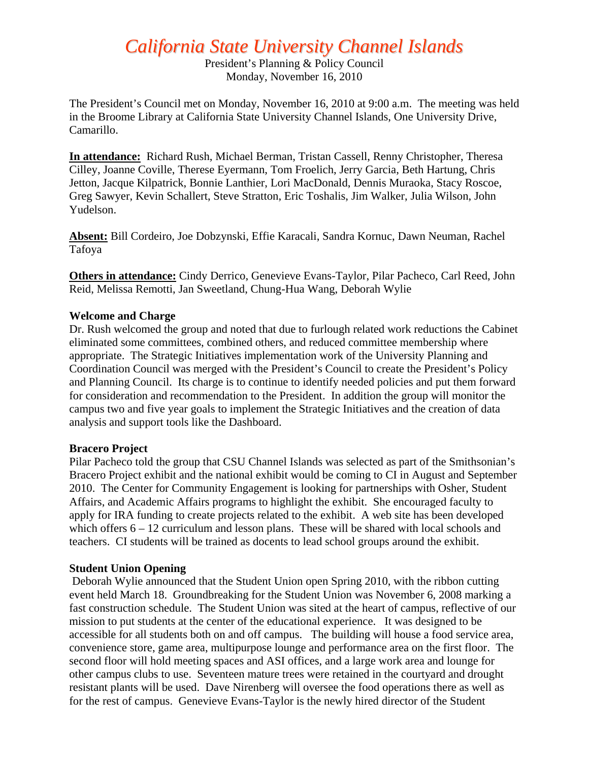# *California State University Channel Islands*

President's Planning & Policy Council Monday, November 16, 2010

The President's Council met on Monday, November 16, 2010 at 9:00 a.m. The meeting was held in the Broome Library at California State University Channel Islands, One University Drive, Camarillo.

**In attendance:** Richard Rush, Michael Berman, Tristan Cassell, Renny Christopher, Theresa Cilley, Joanne Coville, Therese Eyermann, Tom Froelich, Jerry Garcia, Beth Hartung, Chris Jetton, Jacque Kilpatrick, Bonnie Lanthier, Lori MacDonald, Dennis Muraoka, Stacy Roscoe, Greg Sawyer, Kevin Schallert, Steve Stratton, Eric Toshalis, Jim Walker, Julia Wilson, John Yudelson.

**Absent:** Bill Cordeiro, Joe Dobzynski, Effie Karacali, Sandra Kornuc, Dawn Neuman, Rachel Tafoya

**Others in attendance:** Cindy Derrico, Genevieve Evans-Taylor, Pilar Pacheco, Carl Reed, John Reid, Melissa Remotti, Jan Sweetland, Chung-Hua Wang, Deborah Wylie

#### **Welcome and Charge**

Dr. Rush welcomed the group and noted that due to furlough related work reductions the Cabinet eliminated some committees, combined others, and reduced committee membership where appropriate. The Strategic Initiatives implementation work of the University Planning and Coordination Council was merged with the President's Council to create the President's Policy and Planning Council. Its charge is to continue to identify needed policies and put them forward for consideration and recommendation to the President. In addition the group will monitor the campus two and five year goals to implement the Strategic Initiatives and the creation of data analysis and support tools like the Dashboard.

#### **Bracero Project**

Pilar Pacheco told the group that CSU Channel Islands was selected as part of the Smithsonian's Bracero Project exhibit and the national exhibit would be coming to CI in August and September 2010. The Center for Community Engagement is looking for partnerships with Osher, Student Affairs, and Academic Affairs programs to highlight the exhibit. She encouraged faculty to apply for IRA funding to create projects related to the exhibit. A web site has been developed which offers  $6 - 12$  curriculum and lesson plans. These will be shared with local schools and teachers. CI students will be trained as docents to lead school groups around the exhibit.

#### **Student Union Opening**

 Deborah Wylie announced that the Student Union open Spring 2010, with the ribbon cutting event held March 18. Groundbreaking for the Student Union was November 6, 2008 marking a fast construction schedule. The Student Union was sited at the heart of campus, reflective of our mission to put students at the center of the educational experience. It was designed to be accessible for all students both on and off campus. The building will house a food service area, convenience store, game area, multipurpose lounge and performance area on the first floor. The second floor will hold meeting spaces and ASI offices, and a large work area and lounge for other campus clubs to use. Seventeen mature trees were retained in the courtyard and drought resistant plants will be used. Dave Nirenberg will oversee the food operations there as well as for the rest of campus. Genevieve Evans-Taylor is the newly hired director of the Student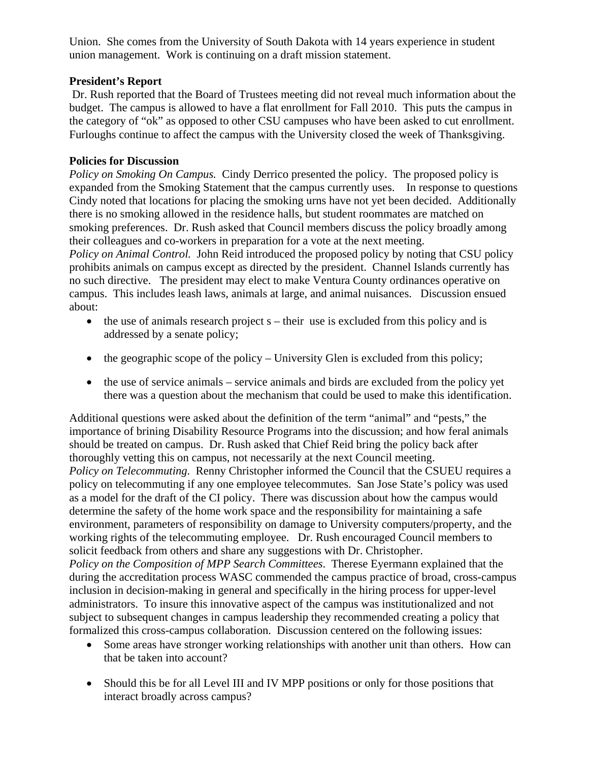Union. She comes from the University of South Dakota with 14 years experience in student union management. Work is continuing on a draft mission statement.

## **President's Report**

Dr. Rush reported that the Board of Trustees meeting did not reveal much information about the budget. The campus is allowed to have a flat enrollment for Fall 2010. This puts the campus in the category of "ok" as opposed to other CSU campuses who have been asked to cut enrollment. Furloughs continue to affect the campus with the University closed the week of Thanksgiving.

### **Policies for Discussion**

*Policy on Smoking On Campus.* Cindy Derrico presented the policy. The proposed policy is expanded from the Smoking Statement that the campus currently uses. In response to questions Cindy noted that locations for placing the smoking urns have not yet been decided. Additionally there is no smoking allowed in the residence halls, but student roommates are matched on smoking preferences. Dr. Rush asked that Council members discuss the policy broadly among their colleagues and co-workers in preparation for a vote at the next meeting.

*Policy on Animal Control.* John Reid introduced the proposed policy by noting that CSU policy prohibits animals on campus except as directed by the president. Channel Islands currently has no such directive. The president may elect to make Ventura County ordinances operative on campus. This includes leash laws, animals at large, and animal nuisances. Discussion ensued about:

- $\bullet$  the use of animals research project s their use is excluded from this policy and is addressed by a senate policy;
- $\bullet$  the geographic scope of the policy University Glen is excluded from this policy;
- the use of service animals service animals and birds are excluded from the policy yet there was a question about the mechanism that could be used to make this identification.

Additional questions were asked about the definition of the term "animal" and "pests," the importance of brining Disability Resource Programs into the discussion; and how feral animals should be treated on campus. Dr. Rush asked that Chief Reid bring the policy back after thoroughly vetting this on campus, not necessarily at the next Council meeting. *Policy on Telecommuting*. Renny Christopher informed the Council that the CSUEU requires a policy on telecommuting if any one employee telecommutes. San Jose State's policy was used as a model for the draft of the CI policy. There was discussion about how the campus would determine the safety of the home work space and the responsibility for maintaining a safe environment, parameters of responsibility on damage to University computers/property, and the working rights of the telecommuting employee. Dr. Rush encouraged Council members to solicit feedback from others and share any suggestions with Dr. Christopher. *Policy on the Composition of MPP Search Committees*. Therese Eyermann explained that the during the accreditation process WASC commended the campus practice of broad, cross-campus inclusion in decision-making in general and specifically in the hiring process for upper-level administrators. To insure this innovative aspect of the campus was institutionalized and not

formalized this cross-campus collaboration. Discussion centered on the following issues: • Some areas have stronger working relationships with another unit than others. How can that be taken into account?

subject to subsequent changes in campus leadership they recommended creating a policy that

• Should this be for all Level III and IV MPP positions or only for those positions that interact broadly across campus?